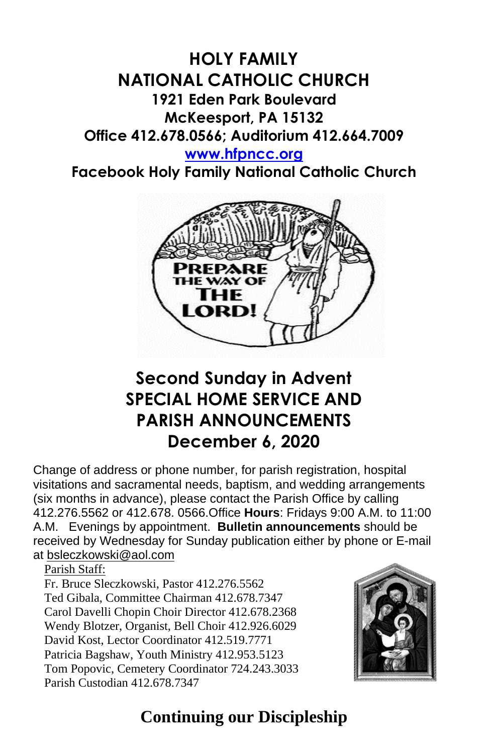### **HOLY FAMILY NATIONAL CATHOLIC CHURCH 1921 Eden Park Boulevard McKeesport, PA 15132 Office 412.678.0566; Auditorium 412.664.7009 [www.hfpncc.org](http://www.hfpncc.org/)**

**Facebook Holy Family National Catholic Church**



# **Second Sunday in Advent SPECIAL HOME SERVICE AND PARISH ANNOUNCEMENTS December 6, 2020**

Change of address or phone number, for parish registration, hospital visitations and sacramental needs, baptism, and wedding arrangements (six months in advance), please contact the Parish Office by calling 412.276.5562 or 412.678. 0566.Office **Hours**: Fridays 9:00 A.M. to 11:00 A.M. Evenings by appointment. **Bulletin announcements** should be received by Wednesday for Sunday publication either by phone or E-mail at [bsleczkowski@aol.com](mailto:bsleczkowski@aol.com)

Parish Staff:

Fr. Bruce Sleczkowski, Pastor 412.276.5562 Ted Gibala, Committee Chairman 412.678.7347 Carol Davelli Chopin Choir Director 412.678.2368 Wendy Blotzer, Organist, Bell Choir 412.926.6029 David Kost, Lector Coordinator 412.519.7771 Patricia Bagshaw, Youth Ministry 412.953.5123 Tom Popovic, Cemetery Coordinator 724.243.3033 Parish Custodian 412.678.7347



## **Continuing our Discipleship**